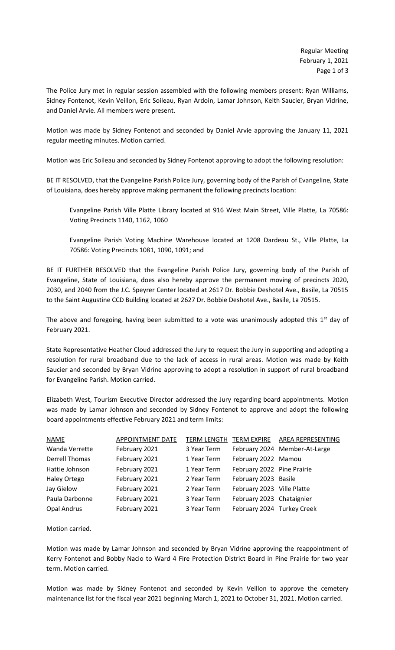The Police Jury met in regular session assembled with the following members present: Ryan Williams, Sidney Fontenot, Kevin Veillon, Eric Soileau, Ryan Ardoin, Lamar Johnson, Keith Saucier, Bryan Vidrine, and Daniel Arvie. All members were present.

Motion was made by Sidney Fontenot and seconded by Daniel Arvie approving the January 11, 2021 regular meeting minutes. Motion carried.

Motion was Eric Soileau and seconded by Sidney Fontenot approving to adopt the following resolution:

BE IT RESOLVED, that the Evangeline Parish Police Jury, governing body of the Parish of Evangeline, State of Louisiana, does hereby approve making permanent the following precincts location:

Evangeline Parish Ville Platte Library located at 916 West Main Street, Ville Platte, La 70586: Voting Precincts 1140, 1162, 1060

Evangeline Parish Voting Machine Warehouse located at 1208 Dardeau St., Ville Platte, La 70586: Voting Precincts 1081, 1090, 1091; and

BE IT FURTHER RESOLVED that the Evangeline Parish Police Jury, governing body of the Parish of Evangeline, State of Louisiana, does also hereby approve the permanent moving of precincts 2020, 2030, and 2040 from the J.C. Speyrer Center located at 2617 Dr. Bobbie Deshotel Ave., Basile, La 70515 to the Saint Augustine CCD Building located at 2627 Dr. Bobbie Deshotel Ave., Basile, La 70515.

The above and foregoing, having been submitted to a vote was unanimously adopted this  $1<sup>st</sup>$  day of February 2021.

State Representative Heather Cloud addressed the Jury to request the Jury in supporting and adopting a resolution for rural broadband due to the lack of access in rural areas. Motion was made by Keith Saucier and seconded by Bryan Vidrine approving to adopt a resolution in support of rural broadband for Evangeline Parish. Motion carried.

Elizabeth West, Tourism Executive Director addressed the Jury regarding board appointments. Motion was made by Lamar Johnson and seconded by Sidney Fontenot to approve and adopt the following board appointments effective February 2021 and term limits:

| <b>NAME</b>           | <b>APPOINTMENT DATE</b> |             |                            | TERM LENGTH TERM EXPIRE AREA REPRESENTING |
|-----------------------|-------------------------|-------------|----------------------------|-------------------------------------------|
| Wanda Verrette        | February 2021           | 3 Year Term |                            | February 2024 Member-At-Large             |
| <b>Derrell Thomas</b> | February 2021           | 1 Year Term | February 2022 Mamou        |                                           |
| Hattie Johnson        | February 2021           | 1 Year Term | February 2022 Pine Prairie |                                           |
| <b>Haley Ortego</b>   | February 2021           | 2 Year Term | February 2023 Basile       |                                           |
| Jay Gielow            | February 2021           | 2 Year Term | February 2023 Ville Platte |                                           |
| Paula Darbonne        | February 2021           | 3 Year Term | February 2023 Chataignier  |                                           |
| <b>Opal Andrus</b>    | February 2021           | 3 Year Term | February 2024 Turkey Creek |                                           |

Motion carried.

Motion was made by Lamar Johnson and seconded by Bryan Vidrine approving the reappointment of Kerry Fontenot and Bobby Nacio to Ward 4 Fire Protection District Board in Pine Prairie for two year term. Motion carried.

Motion was made by Sidney Fontenot and seconded by Kevin Veillon to approve the cemetery maintenance list for the fiscal year 2021 beginning March 1, 2021 to October 31, 2021. Motion carried.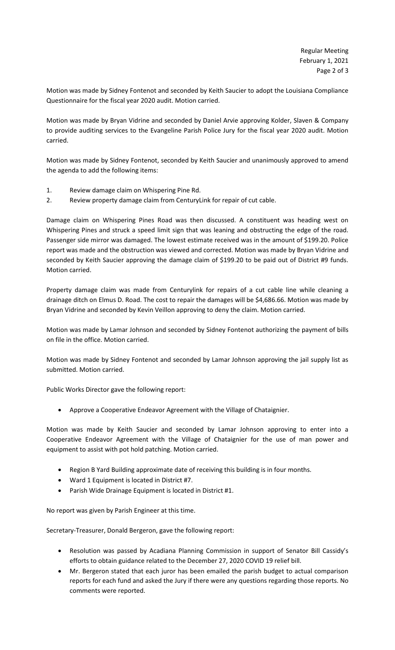Motion was made by Sidney Fontenot and seconded by Keith Saucier to adopt the Louisiana Compliance Questionnaire for the fiscal year 2020 audit. Motion carried.

Motion was made by Bryan Vidrine and seconded by Daniel Arvie approving Kolder, Slaven & Company to provide auditing services to the Evangeline Parish Police Jury for the fiscal year 2020 audit. Motion carried.

Motion was made by Sidney Fontenot, seconded by Keith Saucier and unanimously approved to amend the agenda to add the following items:

- 1. Review damage claim on Whispering Pine Rd.
- 2. Review property damage claim from CenturyLink for repair of cut cable.

Damage claim on Whispering Pines Road was then discussed. A constituent was heading west on Whispering Pines and struck a speed limit sign that was leaning and obstructing the edge of the road. Passenger side mirror was damaged. The lowest estimate received was in the amount of \$199.20. Police report was made and the obstruction was viewed and corrected. Motion was made by Bryan Vidrine and seconded by Keith Saucier approving the damage claim of \$199.20 to be paid out of District #9 funds. Motion carried.

Property damage claim was made from Centurylink for repairs of a cut cable line while cleaning a drainage ditch on Elmus D. Road. The cost to repair the damages will be \$4,686.66. Motion was made by Bryan Vidrine and seconded by Kevin Veillon approving to deny the claim. Motion carried.

Motion was made by Lamar Johnson and seconded by Sidney Fontenot authorizing the payment of bills on file in the office. Motion carried.

Motion was made by Sidney Fontenot and seconded by Lamar Johnson approving the jail supply list as submitted. Motion carried.

Public Works Director gave the following report:

• Approve a Cooperative Endeavor Agreement with the Village of Chataignier.

Motion was made by Keith Saucier and seconded by Lamar Johnson approving to enter into a Cooperative Endeavor Agreement with the Village of Chataignier for the use of man power and equipment to assist with pot hold patching. Motion carried.

- Region B Yard Building approximate date of receiving this building is in four months.
- Ward 1 Equipment is located in District #7.
- Parish Wide Drainage Equipment is located in District #1.

No report was given by Parish Engineer at this time.

Secretary-Treasurer, Donald Bergeron, gave the following report:

- Resolution was passed by Acadiana Planning Commission in support of Senator Bill Cassidy's efforts to obtain guidance related to the December 27, 2020 COVID 19 relief bill.
- Mr. Bergeron stated that each juror has been emailed the parish budget to actual comparison reports for each fund and asked the Jury if there were any questions regarding those reports. No comments were reported.